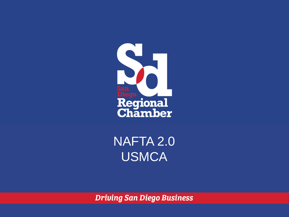

NAFTA 2.0 USMCA

**Driving San Diego Business**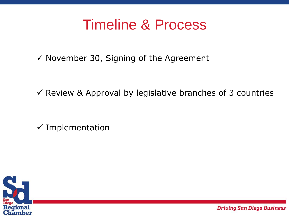## Timeline & Process

 $\checkmark$  November 30, Signing of the Agreement

 $\checkmark$  Review & Approval by legislative branches of 3 countries

 $\checkmark$  Implementation

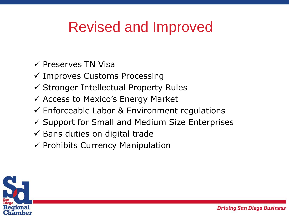# Revised and Improved

- $\checkmark$  Preserves TN Visa
- $\checkmark$  Improves Customs Processing
- $\checkmark$  Stronger Intellectual Property Rules
- $\checkmark$  Access to Mexico's Energy Market
- $\checkmark$  Enforceable Labor & Environment regulations
- $\checkmark$  Support for Small and Medium Size Enterprises
- $\checkmark$  Bans duties on digital trade
- $\checkmark$  Prohibits Currency Manipulation

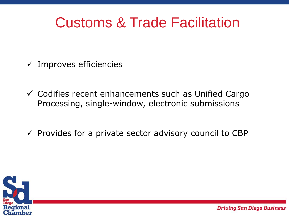## Customs & Trade Facilitation

- $\checkmark$  Improves efficiencies
- $\checkmark$  Codifies recent enhancements such as Unified Cargo Processing, single-window, electronic submissions
- $\checkmark$  Provides for a private sector advisory council to CBP

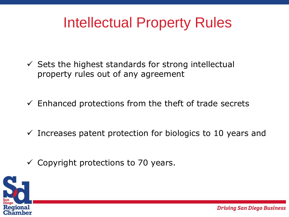## Intellectual Property Rules

- $\checkmark$  Sets the highest standards for strong intellectual property rules out of any agreement
- $\checkmark$  Enhanced protections from the theft of trade secrets
- $\checkmark$  Increases patent protection for biologics to 10 years and
- $\checkmark$  Copyright protections to 70 years.

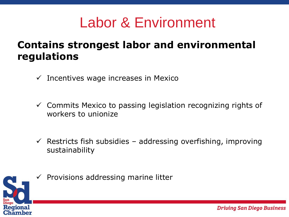### Labor & Environment

#### **Contains strongest labor and environmental regulations**

- $\checkmark$  Incentives wage increases in Mexico
- $\checkmark$  Commits Mexico to passing legislation recognizing rights of workers to unionize
- $\checkmark$  Restricts fish subsidies addressing overfishing, improving sustainability



 $\checkmark$  Provisions addressing marine litter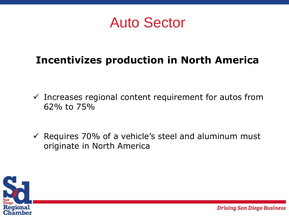Auto Sector

#### **Incentivizes production in North America**

- $\checkmark$  Increases regional content requirement for autos from 62% to 75%
- $\checkmark$  Requires 70% of a vehicle's steel and aluminum must originate in North America

**Driving San Diego Business** 

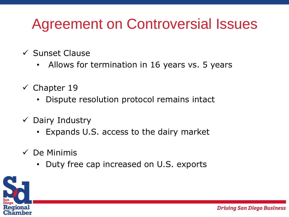# Agreement on Controversial Issues

- $\checkmark$  Sunset Clause
	- Allows for termination in 16 years vs. 5 years
- $\checkmark$  Chapter 19
	- Dispute resolution protocol remains intact
- $\checkmark$  Dairy Industry
	- Expands U.S. access to the dairy market
- $\checkmark$  De Minimis
	- Duty free cap increased on U.S. exports

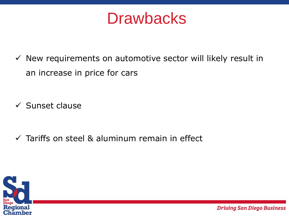# **Drawbacks**

 $\checkmark$  New requirements on automotive sector will likely result in an increase in price for cars

 $\checkmark$  Sunset clause

 $\checkmark$  Tariffs on steel & aluminum remain in effect